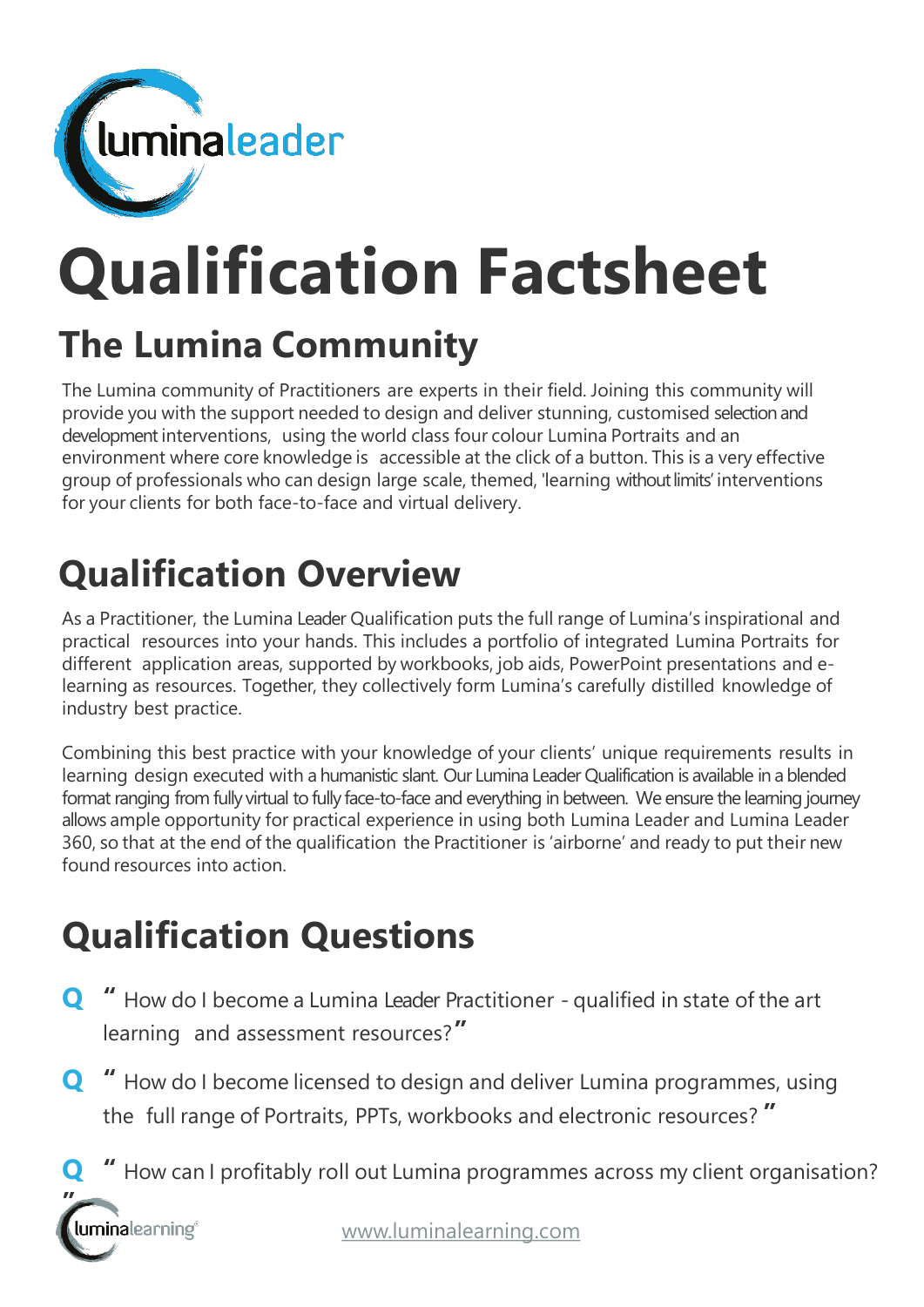

# **Qualification Factsheet**

## **The Lumina Community**

The Lumina community of Practitioners are experts in their field. Joining this community will provide you with the support needed to design and deliver stunning, customised selection and development interventions, using the world class four colour Lumina Portraits and an environment where core knowledge is accessible at the click of a button. This is a very effective group of professionals who can design large scale, themed, 'learning without limits' interventions for your clients for both face-to-face and virtual delivery.

## **Qualification Overview**

As a Practitioner, the Lumina Leader Qualification puts the full range of Lumina's inspirational and practical resources into your hands. This includes a portfolio of integrated Lumina Portraits for different application areas, supported by workbooks, job aids, PowerPoint presentations and elearning as resources. Together, they collectively form Lumina's carefully distilled knowledge of industry best practice.

Combining this best practice with your knowledge of your clients' unique requirements results in learning design executed with a humanistic slant. Our Lumina Leader Qualification is available in a blended format ranging from fully virtual to fully face-to-face and everything in between. We ensure the learning journey allows ample opportunity for practical experience in using both Lumina Leader and Lumina Leader 360, so that at the end of the qualification the Practitioner is 'airborne' and ready to put their new found resources into action.

## **Qualification Questions**

- **Q "** How do I become a Lumina Leader Practitioner qualified in state of the art learning and assessment resources?**"**
- **Q "** How do I become licensed to design and deliver Lumina programmes, using the full range of Portraits, PPTs, workbooks and electronic resources? **"**
	- **Q "** How can I profitably roll out Lumina programmes across my client organisation?

**"**